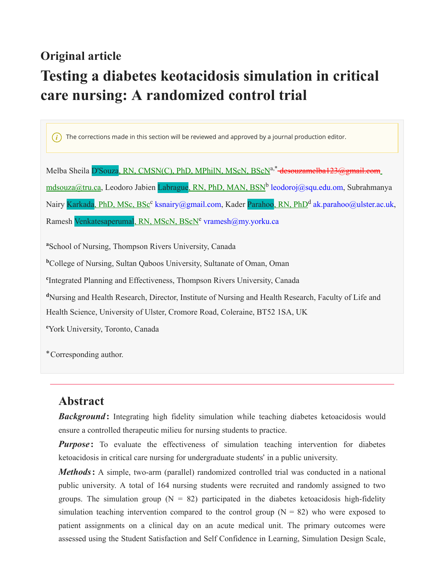### **Original article**

# **Testing a diabetes keotacidosis simulation in critical care nursing: A randomized control trial**

 $\hat{i}$  The corrections made in this section will be reviewed and approved by a journal production editor.

Melba Sheila <mark>D'Souza</mark>, <u>RN, CMSN(C), PhD, MPhilN, MScN, BScN</u><sup>a,\*</sup>-<del>desouzamelba123@gmail.com</del>\_ mdsouza@tru.ca, Leodoro Jabien <mark>Labrague<u>, RN, PhD, MAN, BSN</u>b leodoroj@squ.edu.om, S</mark>ubrahmanya Nairy <mark>Karkada, PhD, MSc, BSc<sup>c</sup> ksnairy@gmail.com, K</mark>ader <mark>Parahoo, RN, PhD<sup>d</sup> ak.parahoo@ulster.ac.uk,</mark> Ramesh Venkatesaperumal<u>, RN, MScN, BScN</u><sup>e</sup> vramesh@my.yorku.ca

**<sup>a</sup>**School of Nursing, Thompson Rivers University, Canada

**<sup>b</sup>**College of Nursing, Sultan Qaboos University, Sultanate of Oman, Oman

**c** Integrated Planning and Effectiveness, Thompson Rivers University, Canada

**<sup>d</sup>**Nursing and Health Research, Director, Institute of Nursing and Health Research, Faculty of Life and Health Science, University of Ulster, Cromore Road, Coleraine, BT52 1SA, UK

**<sup>e</sup>**York University, Toronto, Canada

<sup>∗</sup>Corresponding author.

### **Abstract**

**Background:** Integrating high fidelity simulation while teaching diabetes ketoacidosis would ensure a controlled therapeutic milieu for nursing students to practice.

*Purpose*: To evaluate the effectiveness of simulation teaching intervention for diabetes ketoacidosis in critical care nursing for undergraduate students' in a public university.

*Methods*: A simple, two-arm (parallel) randomized controlled trial was conducted in a national public university. A total of 164 nursing students were recruited and randomly assigned to two groups. The simulation group ( $N = 82$ ) participated in the diabetes ketoacidosis high-fidelity simulation teaching intervention compared to the control group ( $N = 82$ ) who were exposed to patient assignments on a clinical day on an acute medical unit. The primary outcomes were assessed using the Student Satisfaction and Self Confidence in Learning, Simulation Design Scale,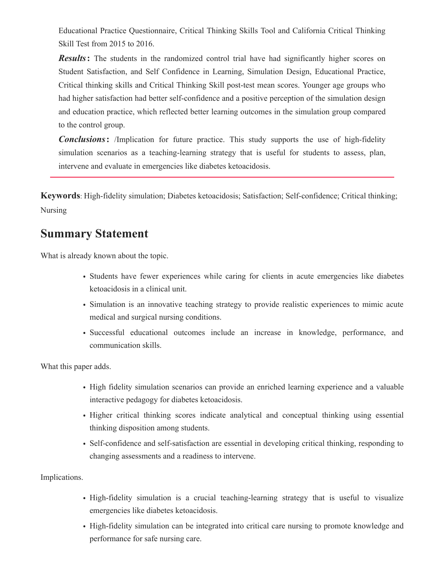Educational Practice Questionnaire, Critical Thinking Skills Tool and California Critical Thinking Skill Test from 2015 to 2016.

*Results*: The students in the randomized control trial have had significantly higher scores on Student Satisfaction, and Self Confidence in Learning, Simulation Design, Educational Practice, Critical thinking skills and Critical Thinking Skill post-test mean scores. Younger age groups who had higher satisfaction had better self-confidence and a positive perception of the simulation design and education practice, which reflected better learning outcomes in the simulation group compared to the control group.

**Conclusions:** /Implication for future practice. This study supports the use of high-fidelity simulation scenarios as a teaching-learning strategy that is useful for students to assess, plan, intervene and evaluate in emergencies like diabetes ketoacidosis.

**Keywords**: High-fidelity simulation; Diabetes ketoacidosis; Satisfaction; Self-confidence; Critical thinking; Nursing

### **Summary Statement**

What is already known about the topic.

- Students have fewer experiences while caring for clients in acute emergencies like diabetes ketoacidosis in a clinical unit.
- Simulation is an innovative teaching strategy to provide realistic experiences to mimic acute medical and surgical nursing conditions.
- Successful educational outcomes include an increase in knowledge, performance, and communication skills.

What this paper adds.

- High fidelity simulation scenarios can provide an enriched learning experience and a valuable interactive pedagogy for diabetes ketoacidosis.
- Higher critical thinking scores indicate analytical and conceptual thinking using essential thinking disposition among students.
- Self-confidence and self-satisfaction are essential in developing critical thinking, responding to changing assessments and a readiness to intervene.

Implications.

- High-fidelity simulation is a crucial teaching-learning strategy that is useful to visualize emergencies like diabetes ketoacidosis.
- High-fidelity simulation can be integrated into critical care nursing to promote knowledge and performance for safe nursing care.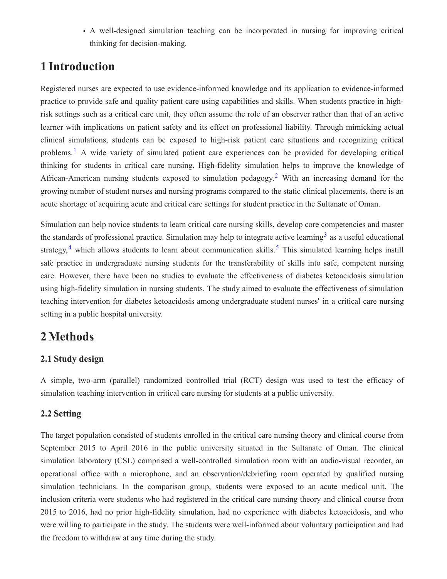• A well-designed simulation teaching can be incorporated in nursing for improving critical thinking for decision-making.

### **1 Introduction**

Registered nurses are expected to use evidence-informed knowledge and its application to evidence-informed practice to provide safe and quality patient care using capabilities and skills. When students practice in highrisk settings such as a critical care unit, they often assume the role of an observer rather than that of an active learner with implications on patient safety and its effect on professional liability. Through mimicking actual clinical simulations, students can be exposed to high-risk patient care situations and recognizing critical problems.<sup>1</sup> A wide variety of simulated patient care experiences can be provided for developing critical thinking for students in critical care nursing. High-fidelity simulation helps to improve the knowledge of African-American nursing students exposed to simulation pedagogy.<sup>2</sup> With an increasing demand for the growing number of student nurses and nursing programs compared to the static clinical placements, there is an acute shortage of acquiring acute and critical care settings for student practice in the Sultanate of Oman.

Simulation can help novice students to learn critical care nursing skills, develop core competencies and master the standards of professional practice. Simulation may help to integrate active learning<sup>3</sup> as a useful educational strategy,<sup>4</sup> which allows students to learn about communication skills.<sup>5</sup> This simulated learning helps instill safe practice in undergraduate nursing students for the transferability of skills into safe, competent nursing care. However, there have been no studies to evaluate the effectiveness of diabetes ketoacidosis simulation using high-fidelity simulation in nursing students. The study aimed to evaluate the effectiveness of simulation teaching intervention for diabetes ketoacidosis among undergraduate student nurses' in a critical care nursing setting in a public hospital university.

## **2Methods**

#### **2.1 Study design**

A simple, two-arm (parallel) randomized controlled trial (RCT) design was used to test the efficacy of simulation teaching intervention in critical care nursing for students at a public university.

#### **2.2 Setting**

The target population consisted of students enrolled in the critical care nursing theory and clinical course from September 2015 to April 2016 in the public university situated in the Sultanate of Oman. The clinical simulation laboratory (CSL) comprised a well-controlled simulation room with an audio-visual recorder, an operational office with a microphone, and an observation/debriefing room operated by qualified nursing simulation technicians. In the comparison group, students were exposed to an acute medical unit. The inclusion criteria were students who had registered in the critical care nursing theory and clinical course from 2015 to 2016, had no prior high-fidelity simulation, had no experience with diabetes ketoacidosis, and who were willing to participate in the study. The students were well-informed about voluntary participation and had the freedom to withdraw at any time during the study.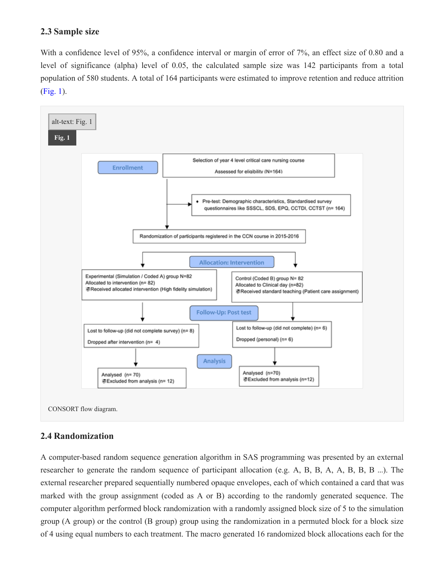#### **2.3 Sample size**

With a confidence level of 95%, a confidence interval or margin of error of 7%, an effect size of 0.80 and a level of significance (alpha) level of 0.05, the calculated sample size was 142 participants from a total population of 580 students. A total of 164 participants were estimated to improve retention and reduce attrition (Fig. 1).



#### **2.4 Randomization**

A computer-based random sequence generation algorithm in SAS programming was presented by an external researcher to generate the random sequence of participant allocation (e.g. A, B, B, A, A, B, B, B …). The external researcher prepared sequentially numbered opaque envelopes, each of which contained a card that was marked with the group assignment (coded as A or B) according to the randomly generated sequence. The computer algorithm performed block randomization with a randomly assigned block size of 5 to the simulation group (A group) or the control (B group) group using the randomization in a permuted block for a block size of 4 using equal numbers to each treatment. The macro generated 16 randomized block allocations each for the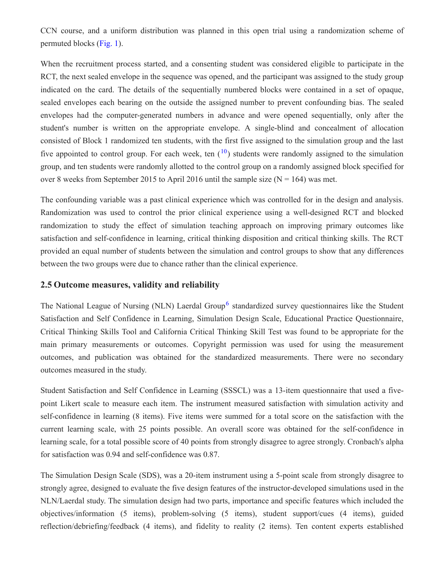CCN course, and a uniform distribution was planned in this open trial using a randomization scheme of permuted blocks (Fig. 1).

When the recruitment process started, and a consenting student was considered eligible to participate in the RCT, the next sealed envelope in the sequence was opened, and the participant was assigned to the study group indicated on the card. The details of the sequentially numbered blocks were contained in a set of opaque, sealed envelopes each bearing on the outside the assigned number to prevent confounding bias. The sealed envelopes had the computer-generated numbers in advance and were opened sequentially, only after the student's number is written on the appropriate envelope. A single-blind and concealment of allocation consisted of Block 1 randomized ten students, with the first five assigned to the simulation group and the last five appointed to control group. For each week, ten  $(10)$  students were randomly assigned to the simulation group, and ten students were randomly allotted to the control group on a randomly assigned block specified for over 8 weeks from September 2015 to April 2016 until the sample size ( $N = 164$ ) was met.

The confounding variable was a past clinical experience which was controlled for in the design and analysis. Randomization was used to control the prior clinical experience using a well-designed RCT and blocked randomization to study the effect of simulation teaching approach on improving primary outcomes like satisfaction and self-confidence in learning, critical thinking disposition and critical thinking skills. The RCT provided an equal number of students between the simulation and control groups to show that any differences between the two groups were due to chance rather than the clinical experience.

#### **2.5 Outcome measures, validity and reliability**

The National League of Nursing (NLN) Laerdal Group<sup>6</sup> standardized survey questionnaires like the Student Satisfaction and Self Confidence in Learning, Simulation Design Scale, Educational Practice Questionnaire, Critical Thinking Skills Tool and California Critical Thinking Skill Test was found to be appropriate for the main primary measurements or outcomes. Copyright permission was used for using the measurement outcomes, and publication was obtained for the standardized measurements. There were no secondary outcomes measured in the study.

Student Satisfaction and Self Confidence in Learning (SSSCL) was a 13-item questionnaire that used a fivepoint Likert scale to measure each item. The instrument measured satisfaction with simulation activity and self-confidence in learning (8 items). Five items were summed for a total score on the satisfaction with the current learning scale, with 25 points possible. An overall score was obtained for the self-confidence in learning scale, for a total possible score of 40 points from strongly disagree to agree strongly. Cronbach's alpha for satisfaction was 0.94 and self-confidence was 0.87.

The Simulation Design Scale (SDS), was a 20-item instrument using a 5-point scale from strongly disagree to strongly agree, designed to evaluate the five design features of the instructor-developed simulations used in the NLN/Laerdal study. The simulation design had two parts, importance and specific features which included the objectives/information (5 items), problem-solving (5 items), student support/cues (4 items), guided reflection/debriefing/feedback (4 items), and fidelity to reality (2 items). Ten content experts established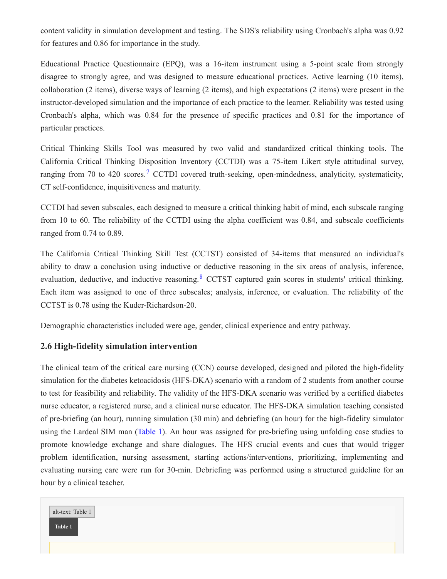content validity in simulation development and testing. The SDS's reliability using Cronbach's alpha was 0.92 for features and 0.86 for importance in the study.

Educational Practice Questionnaire (EPQ), was a 16-item instrument using a 5-point scale from strongly disagree to strongly agree, and was designed to measure educational practices. Active learning (10 items), collaboration (2 items), diverse ways of learning (2 items), and high expectations (2 items) were present in the instructor-developed simulation and the importance of each practice to the learner. Reliability was tested using Cronbach's alpha, which was 0.84 for the presence of specific practices and 0.81 for the importance of particular practices.

Critical Thinking Skills Tool was measured by two valid and standardized critical thinking tools. The California Critical Thinking Disposition Inventory (CCTDI) was a 75-item Likert style attitudinal survey, ranging from 70 to 420 scores.<sup>7</sup> CCTDI covered truth-seeking, open-mindedness, analyticity, systematicity, CT self-confidence, inquisitiveness and maturity.

CCTDI had seven subscales, each designed to measure a critical thinking habit of mind, each subscale ranging from 10 to 60. The reliability of the CCTDI using the alpha coefficient was 0.84, and subscale coefficients ranged from 0.74 to 0.89.

The California Critical Thinking Skill Test (CCTST) consisted of 34-items that measured an individual's ability to draw a conclusion using inductive or deductive reasoning in the six areas of analysis, inference, evaluation, deductive, and inductive reasoning. <sup>8</sup> CCTST captured gain scores in students' critical thinking. Each item was assigned to one of three subscales; analysis, inference, or evaluation. The reliability of the CCTST is 0.78 using the Kuder-Richardson-20.

Demographic characteristics included were age, gender, clinical experience and entry pathway.

#### **2.6 High-fidelity simulation intervention**

The clinical team of the critical care nursing (CCN) course developed, designed and piloted the high-fidelity simulation for the diabetes ketoacidosis (HFS-DKA) scenario with a random of 2 students from another course to test for feasibility and reliability. The validity of the HFS-DKA scenario was verified by a certified diabetes nurse educator, a registered nurse, and a clinical nurse educator. The HFS-DKA simulation teaching consisted of pre-briefing (an hour), running simulation (30 min) and debriefing (an hour) for the high-fidelity simulator using the Lardeal SIM man (Table 1). An hour was assigned for pre-briefing using unfolding case studies to promote knowledge exchange and share dialogues. The HFS crucial events and cues that would trigger problem identification, nursing assessment, starting actions/interventions, prioritizing, implementing and evaluating nursing care were run for 30-min. Debriefing was performed using a structured guideline for an hour by a clinical teacher.

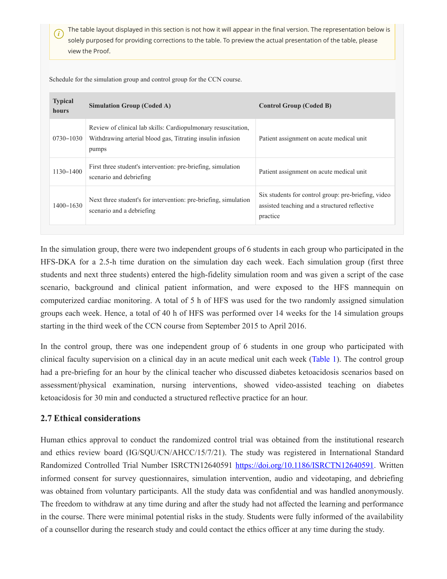*i* The table layout displayed in this section is not how it will appear in the final version. The representation below is solely purposed for providing corrections to the table. To preview the actual presentation of the table, please view the Proof.

Schedule for the simulation group and control group for the CCN course.

| <b>Typical</b><br><b>hours</b> | <b>Simulation Group (Coded A)</b>                                                                                                    | <b>Control Group (Coded B)</b>                                                                                   |
|--------------------------------|--------------------------------------------------------------------------------------------------------------------------------------|------------------------------------------------------------------------------------------------------------------|
| 0730-1030                      | Review of clinical lab skills: Cardiopulmonary resuscitation,<br>Withdrawing arterial blood gas, Titrating insulin infusion<br>pumps | Patient assignment on acute medical unit                                                                         |
| $1130 - 1400$                  | First three student's intervention: pre-briefing, simulation<br>scenario and debriefing                                              | Patient assignment on acute medical unit                                                                         |
| $1400 - 1630$                  | Next three student's for intervention: pre-briefing, simulation<br>scenario and a debriefing                                         | Six students for control group: pre-briefing, video<br>assisted teaching and a structured reflective<br>practice |

In the simulation group, there were two independent groups of 6 students in each group who participated in the HFS-DKA for a 2.5-h time duration on the simulation day each week. Each simulation group (first three students and next three students) entered the high-fidelity simulation room and was given a script of the case scenario, background and clinical patient information, and were exposed to the HFS mannequin on computerized cardiac monitoring. A total of 5 h of HFS was used for the two randomly assigned simulation groups each week. Hence, a total of 40 h of HFS was performed over 14 weeks for the 14 simulation groups starting in the third week of the CCN course from September 2015 to April 2016.

In the control group, there was one independent group of 6 students in one group who participated with clinical faculty supervision on a clinical day in an acute medical unit each week (Table 1). The control group had a pre-briefing for an hour by the clinical teacher who discussed diabetes ketoacidosis scenarios based on assessment/physical examination, nursing interventions, showed video-assisted teaching on diabetes ketoacidosis for 30 min and conducted a structured reflective practice for an hour.

#### **2.7 Ethical considerations**

Human ethics approval to conduct the randomized control trial was obtained from the institutional research and ethics review board (IG/SQU/CN/AHCC/15/7/21). The study was registered in International Standard Randomized Controlled Trial Number ISRCTN12640591 <https://doi.org/10.1186/ISRCTN12640591>. Written informed consent for survey questionnaires, simulation intervention, audio and videotaping, and debriefing was obtained from voluntary participants. All the study data was confidential and was handled anonymously. The freedom to withdraw at any time during and after the study had not affected the learning and performance in the course. There were minimal potential risks in the study. Students were fully informed of the availability of a counsellor during the research study and could contact the ethics officer at any time during the study.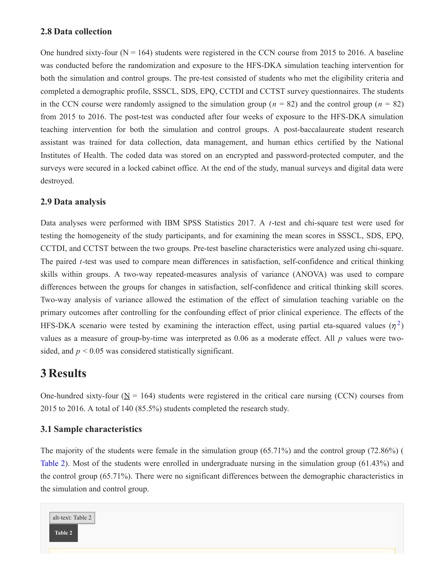#### **2.8 Data collection**

One hundred sixty-four  $(N = 164)$  students were registered in the CCN course from 2015 to 2016. A baseline was conducted before the randomization and exposure to the HFS-DKA simulation teaching intervention for both the simulation and control groups. The pre-test consisted of students who met the eligibility criteria and completed a demographic profile, SSSCL, SDS, EPQ, CCTDI and CCTST survey questionnaires. The students in the CCN course were randomly assigned to the simulation group ( $n = 82$ ) and the control group ( $n = 82$ ) from 2015 to 2016. The post-test was conducted after four weeks of exposure to the HFS-DKA simulation teaching intervention for both the simulation and control groups. A post-baccalaureate student research assistant was trained for data collection, data management, and human ethics certified by the National Institutes of Health. The coded data was stored on an encrypted and password-protected computer, and the surveys were secured in a locked cabinet office. At the end of the study, manual surveys and digital data were destroyed.

#### **2.9 Data analysis**

Data analyses were performed with IBM SPSS Statistics 2017. A *t*-test and chi-square test were used for testing the homogeneity of the study participants, and for examining the mean scores in SSSCL, SDS, EPQ, CCTDI, and CCTST between the two groups. Pre-test baseline characteristics were analyzed using chi-square. The paired *t*-test was used to compare mean differences in satisfaction, self-confidence and critical thinking skills within groups. A two-way repeated-measures analysis of variance (ANOVA) was used to compare differences between the groups for changes in satisfaction, self-confidence and critical thinking skill scores. Two-way analysis of variance allowed the estimation of the effect of simulation teaching variable on the primary outcomes after controlling for the confounding effect of prior clinical experience. The effects of the HFS-DKA scenario were tested by examining the interaction effect, using partial eta-squared values  $(\eta^2)$ values as a measure of group-by-time was interpreted as 0.06 as a moderate effect. All *p* values were twosided, and  $p < 0.05$  was considered statistically significant.

### **3 Results**

One-hundred sixty-four  $(N = 164)$  students were registered in the critical care nursing (CCN) courses from 2015 to 2016. A total of 140 (85.5%) students completed the research study.

#### **3.1 Sample characteristics**

The majority of the students were female in the simulation group (65.71%) and the control group (72.86%) ( Table 2). Most of the students were enrolled in undergraduate nursing in the simulation group (61.43%) and the control group (65.71%). There were no significant differences between the demographic characteristics in the simulation and control group.

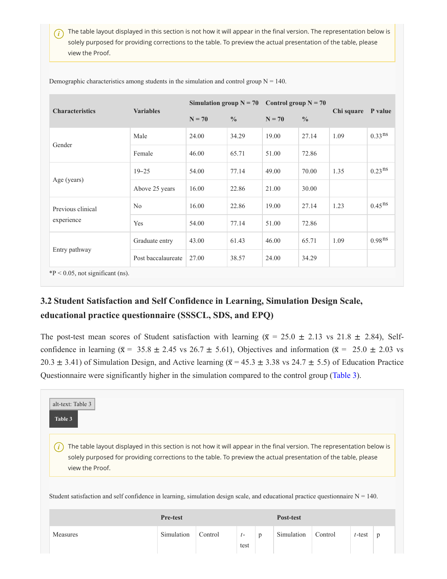*i*) The table layout displayed in this section is not how it will appear in the final version. The representation below is solely purposed for providing corrections to the table. To preview the actual presentation of the table, please view the Proof.

| <b>Characteristics</b>              | <b>Variables</b>   | Simulation group $N = 70$ |               | Control group $N = 70$ |               |            | P value            |  |  |
|-------------------------------------|--------------------|---------------------------|---------------|------------------------|---------------|------------|--------------------|--|--|
|                                     |                    | $N = 70$                  | $\frac{0}{0}$ | $N = 70$               | $\frac{0}{0}$ | Chi square |                    |  |  |
|                                     | Male               | 24.00                     | 34.29         | 19.00                  | 27.14         | 1.09       | 0.33 <sup>ns</sup> |  |  |
| Gender                              | Female             | 46.00                     | 65.71         | 51.00                  | 72.86         |            |                    |  |  |
|                                     | $19 - 25$          | 54.00                     | 77.14         | 49.00                  | 70.00         | 1.35       | 0.23 <sup>ns</sup> |  |  |
| Age (years)                         | Above 25 years     | 16.00                     | 22.86         | 21.00                  | 30.00         |            |                    |  |  |
| Previous clinical                   | No                 | 16.00                     | 22.86         | 19.00                  | 27.14         | 1.23       | $0.45^{ns}$        |  |  |
| experience                          | Yes                | 54.00                     | 77.14         | 51.00                  | 72.86         |            |                    |  |  |
|                                     | Graduate entry     | 43.00                     | 61.43         | 46.00                  | 65.71         | 1.09       | 0.98 <sup>ns</sup> |  |  |
| Entry pathway                       | Post baccalaureate | 27.00                     | 38.57         | 24.00                  | 34.29         |            |                    |  |  |
| $*P < 0.05$ , not significant (ns). |                    |                           |               |                        |               |            |                    |  |  |

Demographic characteristics among students in the simulation and control group  $N = 140$ .

### **3.2 Student Satisfaction and Self Confidence in Learning, Simulation Design Scale, educational practice questionnaire (SSSCL, SDS, and EPQ)**

The post-test mean scores of Student satisfaction with learning ( $\bar{x}$  = 25.0  $\pm$  2.13 vs 21.8  $\pm$  2.84), Selfconfidence in learning ( $\bar{x}$  = 35.8  $\pm$  2.45 vs 26.7  $\pm$  5.61), Objectives and information ( $\bar{x}$  = 25.0  $\pm$  2.03 vs 20.3  $\pm$  3.41) of Simulation Design, and Active learning ( $\bar{x}$  = 45.3  $\pm$  3.38 vs 24.7  $\pm$  5.5) of Education Practice Questionnaire were significantly higher in the simulation compared to the control group (Table 3).

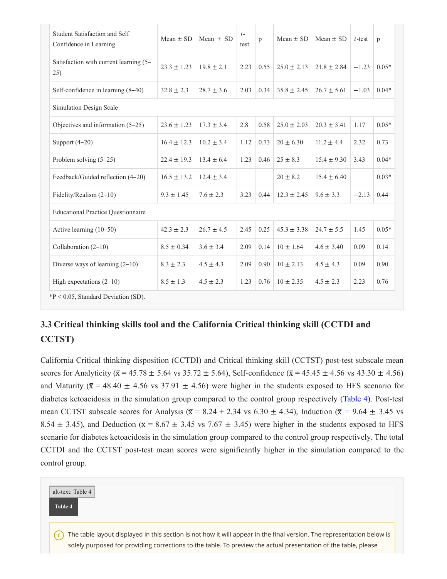| Student Satisfaction and Self<br>Confidence in Learning | $Mean \pm SD$   | Mean $+$ SD    | $t-$<br>test | p    | Mean $\pm$ SD   | Mean $\pm$ SD   | $t$ -test | p       |  |  |
|---------------------------------------------------------|-----------------|----------------|--------------|------|-----------------|-----------------|-----------|---------|--|--|
| Satisfaction with current learning (5-<br>25)           | $23.3 \pm 1.23$ | $19.8 \pm 2.1$ | 2.23         | 0.55 | $25.0 \pm 2.13$ | $21.8 \pm 2.84$ | $-1.23$   | $0.05*$ |  |  |
| Self-confidence in learning (8-40)                      | $32.8 \pm 2.3$  | $28.7 \pm 3.6$ | 2.03         | 0.34 | $35.8 \pm 2.45$ | $26.7 \pm 5.61$ | $-1.03$   | $0.04*$ |  |  |
| Simulation Design Scale                                 |                 |                |              |      |                 |                 |           |         |  |  |
| Objectives and information $(5-25)$                     | $23.6 \pm 1.23$ | $17.3 \pm 3.4$ | 2.8          | 0.58 | $25.0 \pm 2.03$ | $20.3 \pm 3.41$ | 1.17      | $0.05*$ |  |  |
| Support $(4-20)$                                        | $16.4 \pm 12.3$ | $10.2 \pm 3.4$ | 1.12         | 0.73 | $20 \pm 6.30$   | $11.2 \pm 4.4$  | 2.32      | 0.73    |  |  |
| Problem solving (5-25)                                  | $22.4 \pm 19.3$ | $13.4 \pm 6.4$ | 1.23         | 0.46 | $25 \pm 8.3$    | $15.4 \pm 9.30$ | 3.43      | $0.04*$ |  |  |
| Feedback/Guided reflection (4-20)                       | $16.5 \pm 13.2$ | $12.4 \pm 3.4$ |              |      | $20 \pm 8.2$    | $15.4 \pm 6.40$ |           | $0.03*$ |  |  |
| Fidelity/Realism (2-10)                                 | $9.3 \pm 1.45$  | $7.6 \pm 2.3$  | 3.23         | 0.44 | $12.3 \pm 2.45$ | $9.6 \pm 3.3$   | $-2.13$   | 0.44    |  |  |
| <b>Educational Practice Questionnaire</b>               |                 |                |              |      |                 |                 |           |         |  |  |
| Active learning (10-50)                                 | $42.3 \pm 2.3$  | $26.7 \pm 4.5$ | 2.45         | 0.25 | $45.3 \pm 3.38$ | $24.7 \pm 5.5$  | 1.45      | $0.05*$ |  |  |
| Collaboration $(2-10)$                                  | $8.5 \pm 0.34$  | $3.6 \pm 3.4$  | 2.09         | 0.14 | $10 \pm 1.64$   | $4.6 \pm 3.40$  | 0.09      | 0.14    |  |  |
| Diverse ways of learning $(2-10)$                       | $8.3 \pm 2.3$   | $4.5 \pm 4.3$  | 2.09         | 0.90 | $10 \pm 2.13$   | $4.5 \pm 4.3$   | 0.09      | 0.90    |  |  |
| High expectations $(2-10)$                              | $8.5 \pm 1.3$   | $4.5 \pm 2.3$  | 1.23         | 0.76 | $10 \pm 2.35$   | $4.5 \pm 2.3$   | 2.23      | 0.76    |  |  |
| $*P < 0.05$ , Standard Deviation (SD).                  |                 |                |              |      |                 |                 |           |         |  |  |

### **3.3 Critical thinking skills tool and the California Critical thinking skill (CCTDI and CCTST)**

California Critical thinking disposition (CCTDI) and Critical thinking skill (CCTST) post-test subscale mean scores for Analyticity ( $\bar{x}$  = 45.78 ± 5.64 vs 35.72 ± 5.64), Self-confidence ( $\bar{x}$  = 45.45 ± 4.56 vs 43.30 ± 4.56) and Maturity ( $\bar{x}$  = 48.40  $\pm$  4.56 vs 37.91  $\pm$  4.56) were higher in the students exposed to HFS scenario for diabetes ketoacidosis in the simulation group compared to the control group respectively (Table 4). Post-test mean CCTST subscale scores for Analysis ( $\bar{x}$  = 8.24 + 2.34 vs 6.30  $\pm$  4.34), Induction ( $\bar{x}$  = 9.64  $\pm$  3.45 vs 8.54  $\pm$  3.45), and Deduction ( $\bar{x}$  = 8.67  $\pm$  3.45 vs 7.67  $\pm$  3.45) were higher in the students exposed to HFS scenario for diabetes ketoacidosis in the simulation group compared to the control group respectively. The total CCTDI and the CCTST post-test mean scores were significantly higher in the simulation compared to the control group.

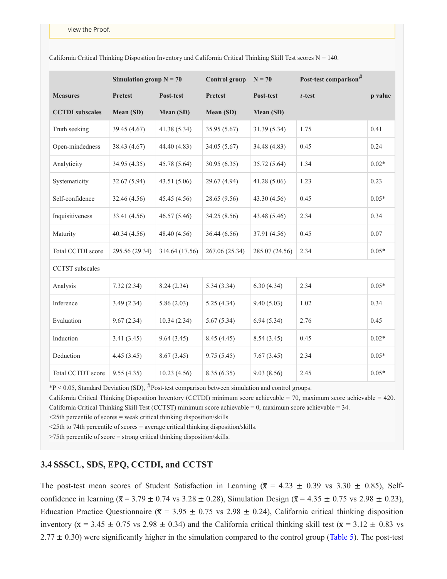|                        | Simulation group $N = 70$ |                | <b>Control group</b> | $N = 70$       | Post-test comparison <sup>#</sup> |         |  |
|------------------------|---------------------------|----------------|----------------------|----------------|-----------------------------------|---------|--|
| <b>Measures</b>        | <b>Pretest</b>            | Post-test      | <b>Pretest</b>       | Post-test      | $t$ -test                         | p value |  |
| <b>CCTDI</b> subscales | Mean (SD)                 | Mean (SD)      | Mean (SD)            | Mean (SD)      |                                   |         |  |
| Truth seeking          | 39.45 (4.67)              | 41.38 (5.34)   | 35.95 (5.67)         | 31.39 (5.34)   | 1.75                              | 0.41    |  |
| Open-mindedness        | 38.43 (4.67)              | 44.40 (4.83)   | 34.05 (5.67)         | 34.48 (4.83)   | 0.45                              | 0.24    |  |
| Analyticity            | 34.95 (4.35)              | 45.78 (5.64)   | 30.95(6.35)          | 35.72 (5.64)   | 1.34                              | $0.02*$ |  |
| Systematicity          | 32.67(5.94)               | 43.51(5.06)    | 29.67 (4.94)         | 41.28(5.06)    | 1.23                              | 0.23    |  |
| Self-confidence        | 32.46 (4.56)              | 45.45(4.56)    | 28.65 (9.56)         | 43.30(4.56)    | 0.45                              | $0.05*$ |  |
| Inquisitiveness        | 33.41 (4.56)              | 46.57 (5.46)   | 34.25 (8.56)         | 43.48 (5.46)   | 2.34                              | 0.34    |  |
| Maturity               | 40.34(4.56)               | 48.40 (4.56)   | 36.44 (6.56)         | 37.91 (4.56)   | 0.45                              | 0.07    |  |
| Total CCTDI score      | 295.56 (29.34)            | 314.64 (17.56) | 267.06 (25.34)       | 285.07 (24.56) | 2.34                              | $0.05*$ |  |
| <b>CCTST</b> subscales |                           |                |                      |                |                                   |         |  |
| Analysis               | 7.32(2.34)                | 8.24(2.34)     | 5.34(3.34)           | 6.30(4.34)     | 2.34                              | $0.05*$ |  |
| Inference              | 3.49(2.34)                | 5.86(2.03)     | 5.25(4.34)           | 9.40(5.03)     | 1.02                              | 0.34    |  |
| Evaluation             | 9.67(2.34)                | 10.34(2.34)    | 5.67(5.34)           | 6.94(5.34)     | 2.76                              | 0.45    |  |
| Induction              | 3.41(3.45)                | 9.64(3.45)     | 8.45(4.45)           | 8.54(3.45)     | 0.45                              | $0.02*$ |  |
| Deduction              | 4.45(3.45)                | 8.67(3.45)     | 9.75(5.45)           | 7.67(3.45)     | 2.34                              | $0.05*$ |  |
| Total CCTDT score      | 9.55(4.35)                | 10.23(4.56)    | 8.35(6.35)           | 9.03(8.56)     | 2.45                              | $0.05*$ |  |

California Critical Thinking Disposition Inventory and California Critical Thinking Skill Test scores  $N = 140$ .

 $*P < 0.05$ , Standard Deviation (SD),  $*P$  ost-test comparison between simulation and control groups.

California Critical Thinking Disposition Inventory (CCTDI) minimum score achievable = 70, maximum score achievable = 420. California Critical Thinking Skill Test (CCTST) minimum score achievable = 0, maximum score achievable = 34.

<25th percentile of scores = weak critical thinking disposition/skills.

<25th to 74th percentile of scores = average critical thinking disposition/skills.

>75th percentile of score = strong critical thinking disposition/skills.

#### **3.4 SSSCL, SDS, EPQ, CCTDI, and CCTST**

The post-test mean scores of Student Satisfaction in Learning ( $\bar{x} = 4.23 \pm 0.39$  vs 3.30  $\pm$  0.85), Selfconfidence in learning ( $\bar{x}$  = 3.79 ± 0.74 vs 3.28 ± 0.28), Simulation Design ( $\bar{x}$  = 4.35 ± 0.75 vs 2.98 ± 0.23), Education Practice Questionnaire ( $\bar{x}$  = 3.95  $\pm$  0.75 vs 2.98  $\pm$  0.24), California critical thinking disposition inventory ( $\bar{x}$  = 3.45  $\pm$  0.75 vs 2.98  $\pm$  0.34) and the California critical thinking skill test ( $\bar{x}$  = 3.12  $\pm$  0.83 vs  $2.77 \pm 0.30$ ) were significantly higher in the simulation compared to the control group (Table 5). The post-test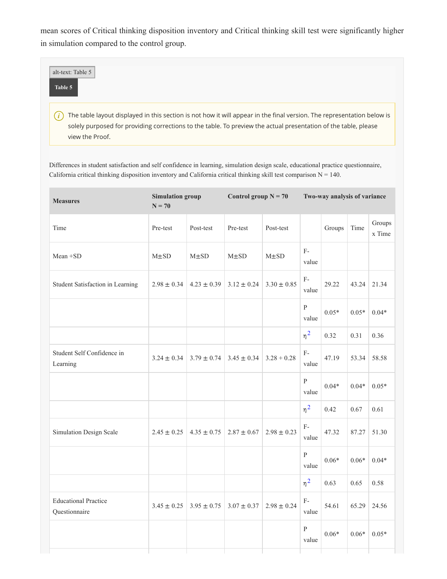mean scores of Critical thinking disposition inventory and Critical thinking skill test were significantly higher in simulation compared to the control group.

| alt-text: Table 5<br>Table 5                                                                                                                                                                                                                                                     |  |
|----------------------------------------------------------------------------------------------------------------------------------------------------------------------------------------------------------------------------------------------------------------------------------|--|
| The table layout displayed in this section is not how it will appear in the final version. The representation below is<br>$\boldsymbol{i}$<br>solely purposed for providing corrections to the table. To preview the actual presentation of the table, please<br>view the Proof. |  |

Differences in student satisfaction and self confidence in learning, simulation design scale, educational practice questionnaire, California critical thinking disposition inventory and California critical thinking skill test comparison  $N = 140$ .

| <b>Measures</b>                              | <b>Simulation group</b><br>$N = 70$ |                 | Control group $N = 70$ |                 | Two-way analysis of variance |         |         |                  |
|----------------------------------------------|-------------------------------------|-----------------|------------------------|-----------------|------------------------------|---------|---------|------------------|
| Time                                         | Pre-test                            | Post-test       | Pre-test               | Post-test       |                              | Groups  | Time    | Groups<br>x Time |
| Mean +SD                                     | $M\pm SD$                           | $M\pm SD$       | $M\pm SD$              | $M\pm SD$       | $F-$<br>value                |         |         |                  |
| Student Satisfaction in Learning             | $2.98 \pm 0.34$                     | $4.23 \pm 0.39$ | $3.12 \pm 0.24$        | $3.30 \pm 0.85$ | $F -$<br>value               | 29.22   | 43.24   | 21.34            |
|                                              |                                     |                 |                        |                 | ${\bf P}$<br>value           | $0.05*$ | $0.05*$ | $0.04*$          |
|                                              |                                     |                 |                        |                 | $\eta^2$                     | 0.32    | 0.31    | 0.36             |
| Student Self Confidence in<br>Learning       | $3.24 \pm 0.34$                     | $3.79 \pm 0.74$ | $3.45 \pm 0.34$        | $3.28 + 0.28$   | $F-$<br>value                | 47.19   | 53.34   | 58.58            |
|                                              |                                     |                 |                        |                 | $\mathbf{P}$<br>value        | $0.04*$ | $0.04*$ | $0.05*$          |
|                                              |                                     |                 |                        |                 | $\eta^2$                     | 0.42    | 0.67    | 0.61             |
| Simulation Design Scale                      | $2.45 \pm 0.25$                     | $4.35 \pm 0.75$ | $2.87 \pm 0.67$        | $2.98 \pm 0.23$ | $F-$<br>value                | 47.32   | 87.27   | 51.30            |
|                                              |                                     |                 |                        |                 | $\, {\bf p}$<br>value        | $0.06*$ | $0.06*$ | $0.04*$          |
|                                              |                                     |                 |                        |                 | $\eta^2$                     | 0.63    | 0.65    | 0.58             |
| <b>Educational Practice</b><br>Questionnaire | $3.45 \pm 0.25$                     | $3.95 \pm 0.75$ | $3.07 \pm 0.37$        | $2.98 \pm 0.24$ | $F-$<br>value                | 54.61   | 65.29   | 24.56            |
|                                              |                                     |                 |                        |                 | $\, {\bf p}$<br>value        | $0.06*$ | $0.06*$ | $0.05*$          |
|                                              |                                     |                 |                        |                 |                              |         |         |                  |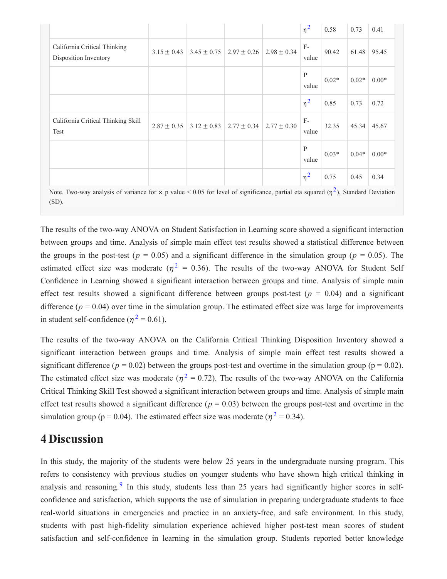|                                                       |                 |                                                     |                 | $\eta^2$      | 0.58    | 0.73    | 0.41    |
|-------------------------------------------------------|-----------------|-----------------------------------------------------|-----------------|---------------|---------|---------|---------|
| California Critical Thinking<br>Disposition Inventory |                 | $3.15 \pm 0.43$   $3.45 \pm 0.75$   $2.97 \pm 0.26$ | $2.98 \pm 0.34$ | $F-$<br>value | 90.42   | 61.48   | 95.45   |
|                                                       |                 |                                                     |                 | P<br>value    | $0.02*$ | $0.02*$ | $0.00*$ |
|                                                       |                 |                                                     |                 | $\eta^2$      | 0.85    | 0.73    | 0.72    |
| California Critical Thinking Skill<br>Test            | $2.87 \pm 0.35$ | $3.12 \pm 0.83$   2.77 $\pm$ 0.34                   | $2.77 \pm 0.30$ | $F-$<br>value | 32.35   | 45.34   | 45.67   |
|                                                       |                 |                                                     |                 | P<br>value    | $0.03*$ | $0.04*$ | $0.00*$ |
|                                                       |                 |                                                     |                 | $\eta^2$      | 0.75    | 0.45    | 0.34    |

Note. Two-way analysis of variance for  $\times$  p value < 0.05 for level of significance, partial eta squared ( $\eta^2$ ) ), Standard Deviation (SD).

The results of the two-way ANOVA on Student Satisfaction in Learning score showed a significant interaction between groups and time. Analysis of simple main effect test results showed a statistical difference between the groups in the post-test ( $p = 0.05$ ) and a significant difference in the simulation group ( $p = 0.05$ ). The estimated effect size was moderate ( $\eta^2 = 0.36$ ). The results of the two-way ANOVA for Student Self Confidence in Learning showed a significant interaction between groups and time. Analysis of simple main effect test results showed a significant difference between groups post-test ( $p = 0.04$ ) and a significant difference  $(p = 0.04)$  over time in the simulation group. The estimated effect size was large for improvements in student self-confidence ( $\eta^2 = 0.61$ ).

The results of the two-way ANOVA on the California Critical Thinking Disposition Inventory showed a significant interaction between groups and time. Analysis of simple main effect test results showed a significant difference ( $p = 0.02$ ) between the groups post-test and overtime in the simulation group ( $p = 0.02$ ). The estimated effect size was moderate ( $\eta^2 = 0.72$ ). The results of the two-way ANOVA on the California Critical Thinking Skill Test showed a significant interaction between groups and time. Analysis of simple main effect test results showed a significant difference  $(p = 0.03)$  between the groups post-test and overtime in the simulation group ( $p = 0.04$ ). The estimated effect size was moderate ( $\eta^2 = 0.34$ ).

### **4 Discussion**

In this study, the majority of the students were below 25 years in the undergraduate nursing program. This refers to consistency with previous studies on younger students who have shown high critical thinking in analysis and reasoning.<sup>9</sup> In this study, students less than 25 years had significantly higher scores in selfconfidence and satisfaction, which supports the use of simulation in preparing undergraduate students to face real-world situations in emergencies and practice in an anxiety-free, and safe environment. In this study, students with past high-fidelity simulation experience achieved higher post-test mean scores of student satisfaction and self-confidence in learning in the simulation group. Students reported better knowledge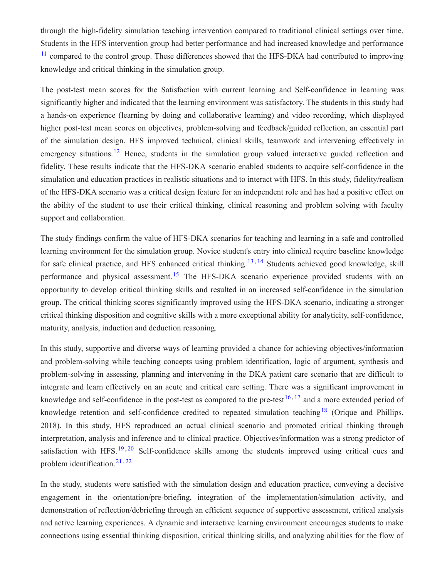through the high-fidelity simulation teaching intervention compared to traditional clinical settings over time. Students in the HFS intervention group had better performance and had increased knowledge and performance <sup>11</sup> compared to the control group. These differences showed that the HFS-DKA had contributed to improving knowledge and critical thinking in the simulation group.

The post-test mean scores for the Satisfaction with current learning and Self-confidence in learning was significantly higher and indicated that the learning environment was satisfactory. The students in this study had a hands-on experience (learning by doing and collaborative learning) and video recording, which displayed higher post-test mean scores on objectives, problem-solving and feedback/guided reflection, an essential part of the simulation design. HFS improved technical, clinical skills, teamwork and intervening effectively in emergency situations.<sup>12</sup> Hence, students in the simulation group valued interactive guided reflection and fidelity. These results indicate that the HFS-DKA scenario enabled students to acquire self-confidence in the simulation and education practices in realistic situations and to interact with HFS. In this study, fidelity/realism of the HFS-DKA scenario was a critical design feature for an independent role and has had a positive effect on the ability of the student to use their critical thinking, clinical reasoning and problem solving with faculty support and collaboration.

The study findings confirm the value of HFS-DKA scenarios for teaching and learning in a safe and controlled learning environment for the simulation group. Novice student's entry into clinical require baseline knowledge for safe clinical practice, and HFS enhanced critical thinking.<sup>13,14</sup> Students achieved good knowledge, skill performance and physical assessment.<sup>15</sup> The HFS-DKA scenario experience provided students with an opportunity to develop critical thinking skills and resulted in an increased self-confidence in the simulation group. The critical thinking scores significantly improved using the HFS-DKA scenario, indicating a stronger critical thinking disposition and cognitive skills with a more exceptional ability for analyticity, self-confidence, maturity, analysis, induction and deduction reasoning.

In this study, supportive and diverse ways of learning provided a chance for achieving objectives/information and problem-solving while teaching concepts using problem identification, logic of argument, synthesis and problem-solving in assessing, planning and intervening in the DKA patient care scenario that are difficult to integrate and learn effectively on an acute and critical care setting. There was a significant improvement in knowledge and self-confidence in the post-test as compared to the pre-test<sup>16,17</sup> and a more extended period of knowledge retention and self-confidence credited to repeated simulation teaching<sup>18</sup> (Orique and Phillips, 2018). In this study, HFS reproduced an actual clinical scenario and promoted critical thinking through interpretation, analysis and inference and to clinical practice. Objectives/information was a strong predictor of satisfaction with HFS.<sup>19,20</sup> Self-confidence skills among the students improved using critical cues and problem identification. 21 , 22

In the study, students were satisfied with the simulation design and education practice, conveying a decisive engagement in the orientation/pre-briefing, integration of the implementation/simulation activity, and demonstration of reflection/debriefing through an efficient sequence of supportive assessment, critical analysis and active learning experiences. A dynamic and interactive learning environment encourages students to make connections using essential thinking disposition, critical thinking skills, and analyzing abilities for the flow of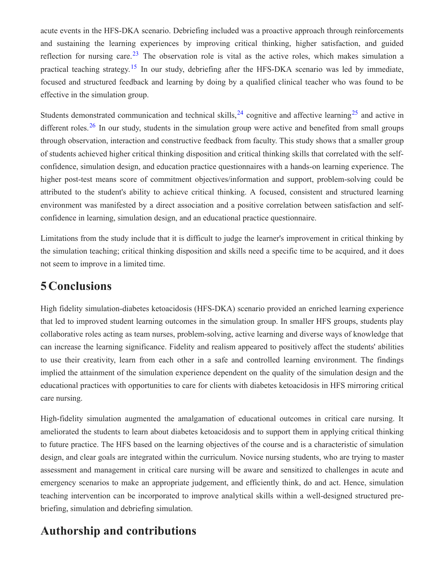acute events in the HFS-DKA scenario. Debriefing included was a proactive approach through reinforcements and sustaining the learning experiences by improving critical thinking, higher satisfaction, and guided reflection for nursing care.<sup>23</sup> The observation role is vital as the active roles, which makes simulation a practical teaching strategy.<sup>15</sup> In our study, debriefing after the HFS-DKA scenario was led by immediate, focused and structured feedback and learning by doing by a qualified clinical teacher who was found to be effective in the simulation group.

Students demonstrated communication and technical skills,  $24$  cognitive and affective learning  $25$  and active in different roles.<sup>26</sup> In our study, students in the simulation group were active and benefited from small groups through observation, interaction and constructive feedback from faculty. This study shows that a smaller group of students achieved higher critical thinking disposition and critical thinking skills that correlated with the selfconfidence, simulation design, and education practice questionnaires with a hands-on learning experience. The higher post-test means score of commitment objectives/information and support, problem-solving could be attributed to the student's ability to achieve critical thinking. A focused, consistent and structured learning environment was manifested by a direct association and a positive correlation between satisfaction and selfconfidence in learning, simulation design, and an educational practice questionnaire.

Limitations from the study include that it is difficult to judge the learner's improvement in critical thinking by the simulation teaching; critical thinking disposition and skills need a specific time to be acquired, and it does not seem to improve in a limited time.

### **5 Conclusions**

High fidelity simulation-diabetes ketoacidosis (HFS-DKA) scenario provided an enriched learning experience that led to improved student learning outcomes in the simulation group. In smaller HFS groups, students play collaborative roles acting as team nurses, problem-solving, active learning and diverse ways of knowledge that can increase the learning significance. Fidelity and realism appeared to positively affect the students' abilities to use their creativity, learn from each other in a safe and controlled learning environment. The findings implied the attainment of the simulation experience dependent on the quality of the simulation design and the educational practices with opportunities to care for clients with diabetes ketoacidosis in HFS mirroring critical care nursing.

High-fidelity simulation augmented the amalgamation of educational outcomes in critical care nursing. It ameliorated the students to learn about diabetes ketoacidosis and to support them in applying critical thinking to future practice. The HFS based on the learning objectives of the course and is a characteristic of simulation design, and clear goals are integrated within the curriculum. Novice nursing students, who are trying to master assessment and management in critical care nursing will be aware and sensitized to challenges in acute and emergency scenarios to make an appropriate judgement, and efficiently think, do and act. Hence, simulation teaching intervention can be incorporated to improve analytical skills within a well-designed structured prebriefing, simulation and debriefing simulation.

## **Authorship and contributions**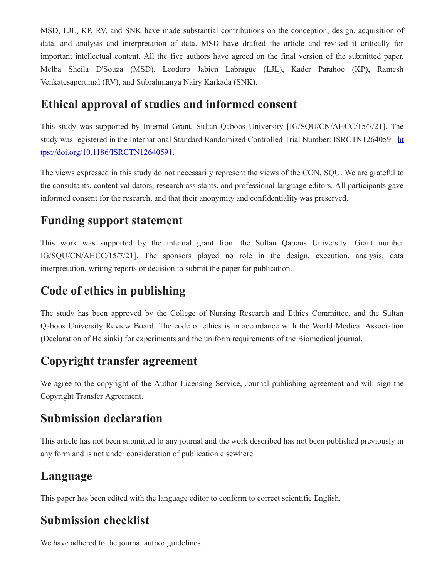MSD, LJL, KP, RV, and SNK have made substantial contributions on the conception, design, acquisition of data, and analysis and interpretation of data. MSD have drafted the article and revised it critically for important intellectual content. All the five authors have agreed on the final version of the submitted paper. Melba Sheila D'Souza (MSD), Leodoro Jabien Labrague (LJL), Kader Parahoo (KP), Ramesh Venkatesaperumal (RV), and Subrahmanya Nairy Karkada (SNK).

## **Ethical approval of studies and informed consent**

This study was supported by Internal Grant, Sultan Qaboos University [IG/SQU/CN/AHCC/15/7/21]. The study was registered in the International Standard Randomized Controlled Trial Number: ISRCTN12640591 ht [tps://doi.org/10.1186/ISRCTN12640591.](https://doi.org/10.1186/ISRCTN12640591)

The views expressed in this study do not necessarily represent the views of the CON, SQU. We are grateful to the consultants, content validators, research assistants, and professional language editors. All participants gave informed consent for the research, and that their anonymity and confidentiality was preserved.

### **Funding support statement**

This work was supported by the internal grant from the Sultan Qaboos University [Grant number IG/SQU/CN/AHCC/15/7/21]. The sponsors played no role in the design, execution, analysis, data interpretation, writing reports or decision to submit the paper for publication.

## **Code of ethics in publishing**

The study has been approved by the College of Nursing Research and Ethics Committee, and the Sultan Qaboos University Review Board. The code of ethics is in accordance with the World Medical Association (Declaration of Helsinki) for experiments and the uniform requirements of the Biomedical journal.

## **Copyright transfer agreement**

We agree to the copyright of the Author Licensing Service, Journal publishing agreement and will sign the Copyright Transfer Agreement.

## **Submission declaration**

This article has not been submitted to any journal and the work described has not been published previously in any form and is not under consideration of publication elsewhere.

## **Language**

This paper has been edited with the language editor to conform to correct scientific English.

## **Submission checklist**

We have adhered to the journal author guidelines.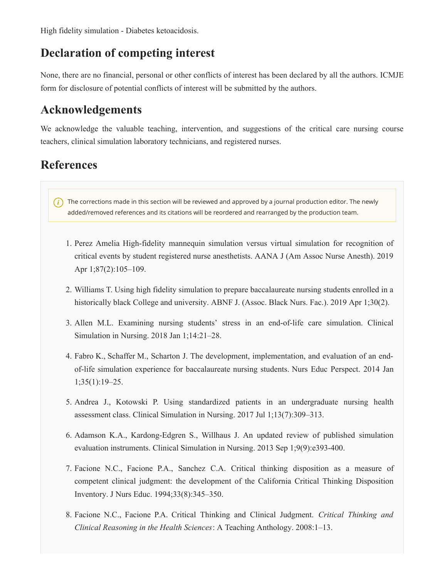High fidelity simulation - Diabetes ketoacidosis.

### **Declaration of competing interest**

None, there are no financial, personal or other conflicts of interest has been declared by all the authors. ICMJE form for disclosure of potential conflicts of interest will be submitted by the authors.

### **Acknowledgements**

We acknowledge the valuable teaching, intervention, and suggestions of the critical care nursing course teachers, clinical simulation laboratory technicians, and registered nurses.

## **References**

 $(i)$  The corrections made in this section will be reviewed and approved by a journal production editor. The newly added/removed references and its citations will be reordered and rearranged by the production team.

- 1. Perez Amelia High-fidelity mannequin simulation versus virtual simulation for recognition of critical events by student registered nurse anesthetists. AANA J (Am Assoc Nurse Anesth). 2019 Apr 1;87(2):105–109.
- 2. Williams T. Using high fidelity simulation to prepare baccalaureate nursing students enrolled in a historically black College and university. ABNF J. (Assoc. Black Nurs. Fac.). 2019 Apr 1;30(2).
- 3. Allen M.L. Examining nursing students' stress in an end-of-life care simulation. Clinical Simulation in Nursing. 2018 Jan 1;14:21–28.
- 4. Fabro K., Schaffer M., Scharton J. The development, implementation, and evaluation of an endof-life simulation experience for baccalaureate nursing students. Nurs Educ Perspect. 2014 Jan 1;35(1):19–25.
- 5. Andrea J., Kotowski P. Using standardized patients in an undergraduate nursing health assessment class. Clinical Simulation in Nursing. 2017 Jul 1;13(7):309–313.
- 6. Adamson K.A., Kardong-Edgren S., Willhaus J. An updated review of published simulation evaluation instruments. Clinical Simulation in Nursing. 2013 Sep 1;9(9):e393-400.
- 7. Facione N.C., Facione P.A., Sanchez C.A. Critical thinking disposition as a measure of competent clinical judgment: the development of the California Critical Thinking Disposition Inventory. J Nurs Educ. 1994;33(8):345–350.
- 8. Facione N.C., Facione P.A. Critical Thinking and Clinical Judgment. *Critical Thinking and Clinical Reasoning in the Health Sciences*: A Teaching Anthology. 2008:1–13.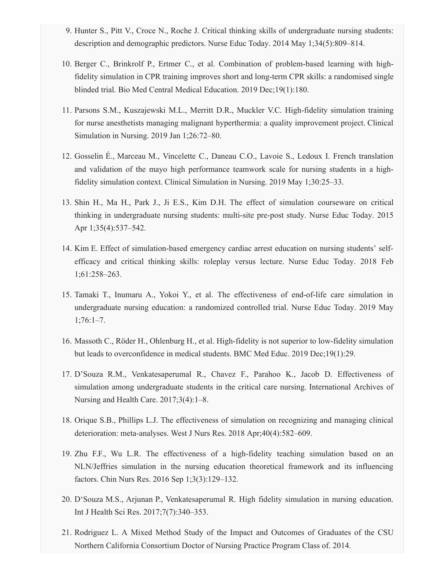- 9. Hunter S., Pitt V., Croce N., Roche J. Critical thinking skills of undergraduate nursing students: description and demographic predictors. Nurse Educ Today. 2014 May 1;34(5):809–814.
- 10. Berger C., Brinkrolf P., Ertmer C., et al. Combination of problem-based learning with highfidelity simulation in CPR training improves short and long-term CPR skills: a randomised single blinded trial. Bio Med Central Medical Education. 2019 Dec;19(1):180.
- 11. Parsons S.M., Kuszajewski M.L., Merritt D.R., Muckler V.C. High-fidelity simulation training for nurse anesthetists managing malignant hyperthermia: a quality improvement project. Clinical Simulation in Nursing. 2019 Jan 1;26:72–80.
- 12. Gosselin É., Marceau M., Vincelette C., Daneau C.O., Lavoie S., Ledoux I. French translation and validation of the mayo high performance teamwork scale for nursing students in a highfidelity simulation context. Clinical Simulation in Nursing. 2019 May 1;30:25–33.
- 13. Shin H., Ma H., Park J., Ji E.S., Kim D.H. The effect of simulation courseware on critical thinking in undergraduate nursing students: multi-site pre-post study. Nurse Educ Today. 2015 Apr 1;35(4):537–542.
- 14. Kim E. Effect of simulation-based emergency cardiac arrest education on nursing students' selfefficacy and critical thinking skills: roleplay versus lecture. Nurse Educ Today. 2018 Feb 1;61:258–263.
- 15. Tamaki T., Inumaru A., Yokoi Y., et al. The effectiveness of end-of-life care simulation in undergraduate nursing education: a randomized controlled trial. Nurse Educ Today. 2019 May  $1;76:1-7.$
- 16. Massoth C., Röder H., Ohlenburg H., et al. High-fidelity is not superior to low-fidelity simulation but leads to overconfidence in medical students. BMC Med Educ. 2019 Dec;19(1):29.
- 17. D'Souza R.M., Venkatesaperumal R., Chavez F., Parahoo K., Jacob D. Effectiveness of simulation among undergraduate students in the critical care nursing. International Archives of Nursing and Health Care. 2017;3(4):1–8.
- 18. Orique S.B., Phillips L.J. The effectiveness of simulation on recognizing and managing clinical deterioration: meta-analyses. West J Nurs Res. 2018 Apr;40(4):582–609.
- 19. Zhu F.F., Wu L.R. The effectiveness of a high-fidelity teaching simulation based on an NLN/Jeffries simulation in the nursing education theoretical framework and its influencing factors. Chin Nurs Res. 2016 Sep 1;3(3):129–132.
- 20. D'Souza M.S., Arjunan P., Venkatesaperumal R. High fidelity simulation in nursing education. Int J Health Sci Res. 2017;7(7):340–353.
- 21. Rodriguez L. A Mixed Method Study of the Impact and Outcomes of Graduates of the CSU Northern California Consortium Doctor of Nursing Practice Program Class of. 2014.